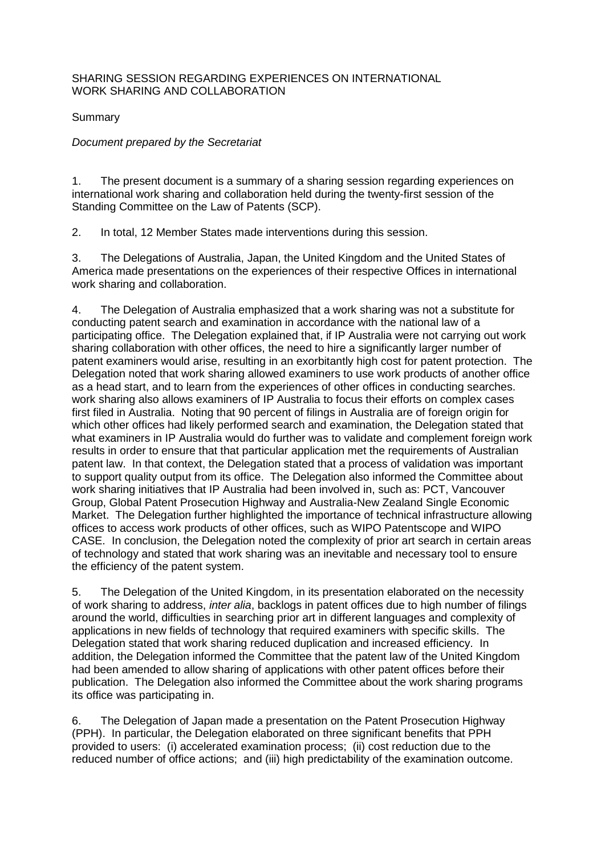## SHARING SESSION REGARDING EXPERIENCES ON INTERNATIONAL WORK SHARING AND COLLABORATION

Summary

## *Document prepared by the Secretariat*

1. The present document is a summary of a sharing session regarding experiences on international work sharing and collaboration held during the twenty-first session of the Standing Committee on the Law of Patents (SCP).

2. In total, 12 Member States made interventions during this session.

3. The Delegations of Australia, Japan, the United Kingdom and the United States of America made presentations on the experiences of their respective Offices in international work sharing and collaboration.

4. The Delegation of Australia emphasized that a work sharing was not a substitute for conducting patent search and examination in accordance with the national law of a participating office. The Delegation explained that, if IP Australia were not carrying out work sharing collaboration with other offices, the need to hire a significantly larger number of patent examiners would arise, resulting in an exorbitantly high cost for patent protection. The Delegation noted that work sharing allowed examiners to use work products of another office as a head start, and to learn from the experiences of other offices in conducting searches. work sharing also allows examiners of IP Australia to focus their efforts on complex cases first filed in Australia. Noting that 90 percent of filings in Australia are of foreign origin for which other offices had likely performed search and examination, the Delegation stated that what examiners in IP Australia would do further was to validate and complement foreign work results in order to ensure that that particular application met the requirements of Australian patent law. In that context, the Delegation stated that a process of validation was important to support quality output from its office. The Delegation also informed the Committee about work sharing initiatives that IP Australia had been involved in, such as: PCT, Vancouver Group, Global Patent Prosecution Highway and Australia-New Zealand Single Economic Market. The Delegation further highlighted the importance of technical infrastructure allowing offices to access work products of other offices, such as WIPO Patentscope and WIPO CASE. In conclusion, the Delegation noted the complexity of prior art search in certain areas of technology and stated that work sharing was an inevitable and necessary tool to ensure the efficiency of the patent system.

5. The Delegation of the United Kingdom, in its presentation elaborated on the necessity of work sharing to address, *inter alia*, backlogs in patent offices due to high number of filings around the world, difficulties in searching prior art in different languages and complexity of applications in new fields of technology that required examiners with specific skills. The Delegation stated that work sharing reduced duplication and increased efficiency. In addition, the Delegation informed the Committee that the patent law of the United Kingdom had been amended to allow sharing of applications with other patent offices before their publication. The Delegation also informed the Committee about the work sharing programs its office was participating in.

6. The Delegation of Japan made a presentation on the Patent Prosecution Highway (PPH). In particular, the Delegation elaborated on three significant benefits that PPH provided to users: (i) accelerated examination process; (ii) cost reduction due to the reduced number of office actions; and (iii) high predictability of the examination outcome.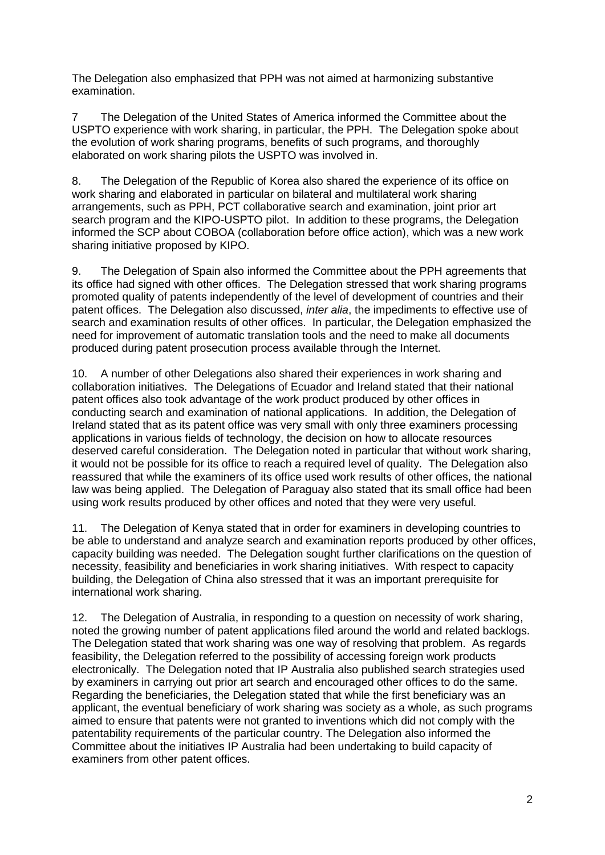The Delegation also emphasized that PPH was not aimed at harmonizing substantive examination.

7 The Delegation of the United States of America informed the Committee about the USPTO experience with work sharing, in particular, the PPH. The Delegation spoke about the evolution of work sharing programs, benefits of such programs, and thoroughly elaborated on work sharing pilots the USPTO was involved in.

8. The Delegation of the Republic of Korea also shared the experience of its office on work sharing and elaborated in particular on bilateral and multilateral work sharing arrangements, such as PPH, PCT collaborative search and examination, joint prior art search program and the KIPO-USPTO pilot. In addition to these programs, the Delegation informed the SCP about COBOA (collaboration before office action), which was a new work sharing initiative proposed by KIPO.

9. The Delegation of Spain also informed the Committee about the PPH agreements that its office had signed with other offices. The Delegation stressed that work sharing programs promoted quality of patents independently of the level of development of countries and their patent offices. The Delegation also discussed, *inter alia*, the impediments to effective use of search and examination results of other offices. In particular, the Delegation emphasized the need for improvement of automatic translation tools and the need to make all documents produced during patent prosecution process available through the Internet.

10. A number of other Delegations also shared their experiences in work sharing and collaboration initiatives. The Delegations of Ecuador and Ireland stated that their national patent offices also took advantage of the work product produced by other offices in conducting search and examination of national applications. In addition, the Delegation of Ireland stated that as its patent office was very small with only three examiners processing applications in various fields of technology, the decision on how to allocate resources deserved careful consideration. The Delegation noted in particular that without work sharing, it would not be possible for its office to reach a required level of quality. The Delegation also reassured that while the examiners of its office used work results of other offices, the national law was being applied. The Delegation of Paraguay also stated that its small office had been using work results produced by other offices and noted that they were very useful.

11. The Delegation of Kenya stated that in order for examiners in developing countries to be able to understand and analyze search and examination reports produced by other offices, capacity building was needed. The Delegation sought further clarifications on the question of necessity, feasibility and beneficiaries in work sharing initiatives. With respect to capacity building, the Delegation of China also stressed that it was an important prerequisite for international work sharing.

12. The Delegation of Australia, in responding to a question on necessity of work sharing, noted the growing number of patent applications filed around the world and related backlogs. The Delegation stated that work sharing was one way of resolving that problem. As regards feasibility, the Delegation referred to the possibility of accessing foreign work products electronically. The Delegation noted that IP Australia also published search strategies used by examiners in carrying out prior art search and encouraged other offices to do the same. Regarding the beneficiaries, the Delegation stated that while the first beneficiary was an applicant, the eventual beneficiary of work sharing was society as a whole, as such programs aimed to ensure that patents were not granted to inventions which did not comply with the patentability requirements of the particular country. The Delegation also informed the Committee about the initiatives IP Australia had been undertaking to build capacity of examiners from other patent offices.